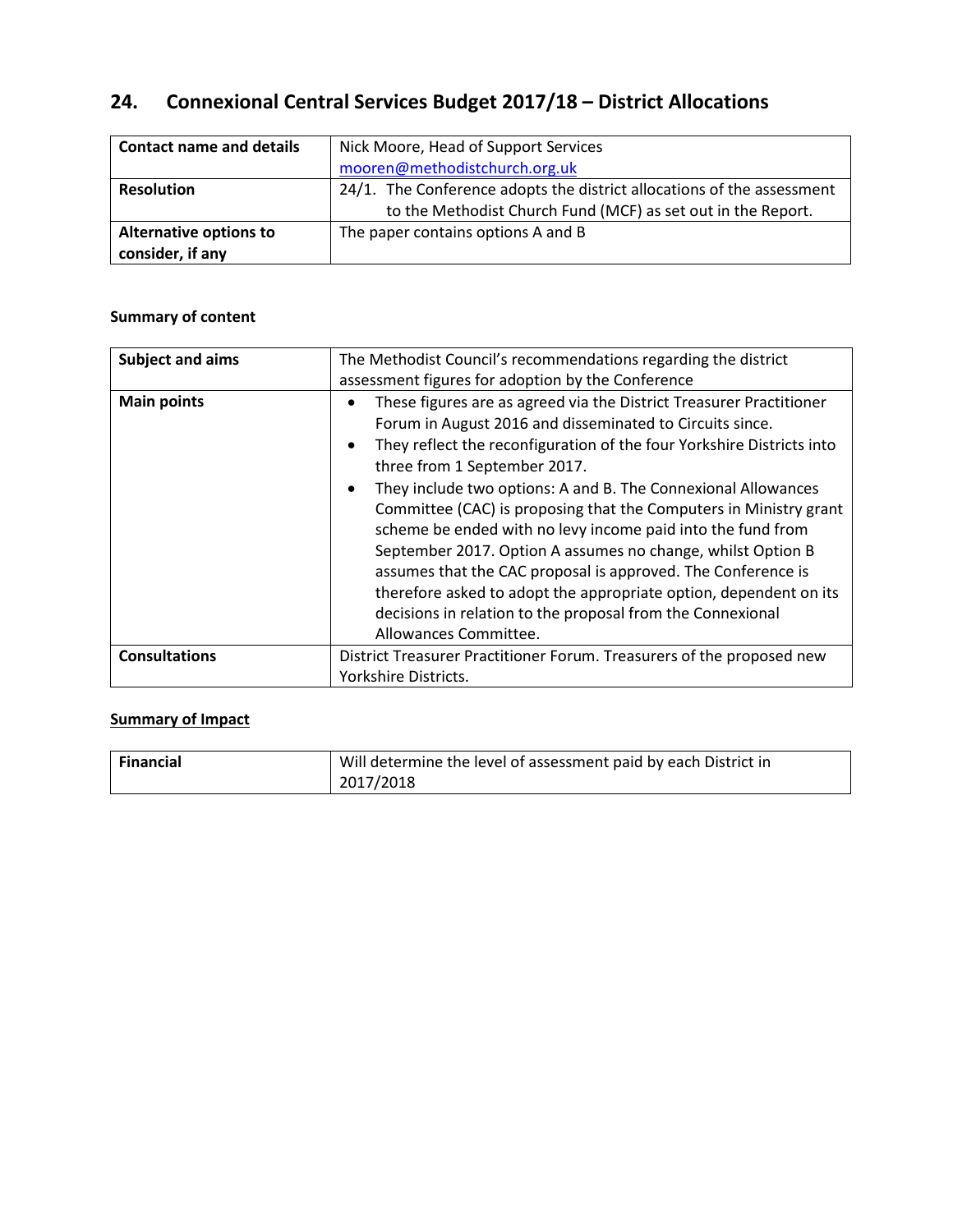# **24. Connexional Central Services Budget 2017/18 – District Allocations**

| <b>Contact name and details</b> | Nick Moore, Head of Support Services                                   |
|---------------------------------|------------------------------------------------------------------------|
|                                 | mooren@methodistchurch.org.uk                                          |
| <b>Resolution</b>               | 24/1. The Conference adopts the district allocations of the assessment |
|                                 | to the Methodist Church Fund (MCF) as set out in the Report.           |
| <b>Alternative options to</b>   | The paper contains options A and B                                     |
| consider, if any                |                                                                        |

### **Summary of content**

| <b>Subject and aims</b> | The Methodist Council's recommendations regarding the district                                                                                                                                                                                                                                                                                                                                                                                                                                                                                                                                                                                                                                                                                                                                                          |  |  |  |  |
|-------------------------|-------------------------------------------------------------------------------------------------------------------------------------------------------------------------------------------------------------------------------------------------------------------------------------------------------------------------------------------------------------------------------------------------------------------------------------------------------------------------------------------------------------------------------------------------------------------------------------------------------------------------------------------------------------------------------------------------------------------------------------------------------------------------------------------------------------------------|--|--|--|--|
| <b>Main points</b>      | assessment figures for adoption by the Conference<br>These figures are as agreed via the District Treasurer Practitioner<br>Forum in August 2016 and disseminated to Circuits since.<br>They reflect the reconfiguration of the four Yorkshire Districts into<br>$\bullet$<br>three from 1 September 2017.<br>They include two options: A and B. The Connexional Allowances<br>$\bullet$<br>Committee (CAC) is proposing that the Computers in Ministry grant<br>scheme be ended with no levy income paid into the fund from<br>September 2017. Option A assumes no change, whilst Option B<br>assumes that the CAC proposal is approved. The Conference is<br>therefore asked to adopt the appropriate option, dependent on its<br>decisions in relation to the proposal from the Connexional<br>Allowances Committee. |  |  |  |  |
| <b>Consultations</b>    | District Treasurer Practitioner Forum. Treasurers of the proposed new<br>Yorkshire Districts.                                                                                                                                                                                                                                                                                                                                                                                                                                                                                                                                                                                                                                                                                                                           |  |  |  |  |

## **Summary of Impact**

| Financial | Will determine the level of assessment paid by each District in |  |  |
|-----------|-----------------------------------------------------------------|--|--|
|           | 2017/2018                                                       |  |  |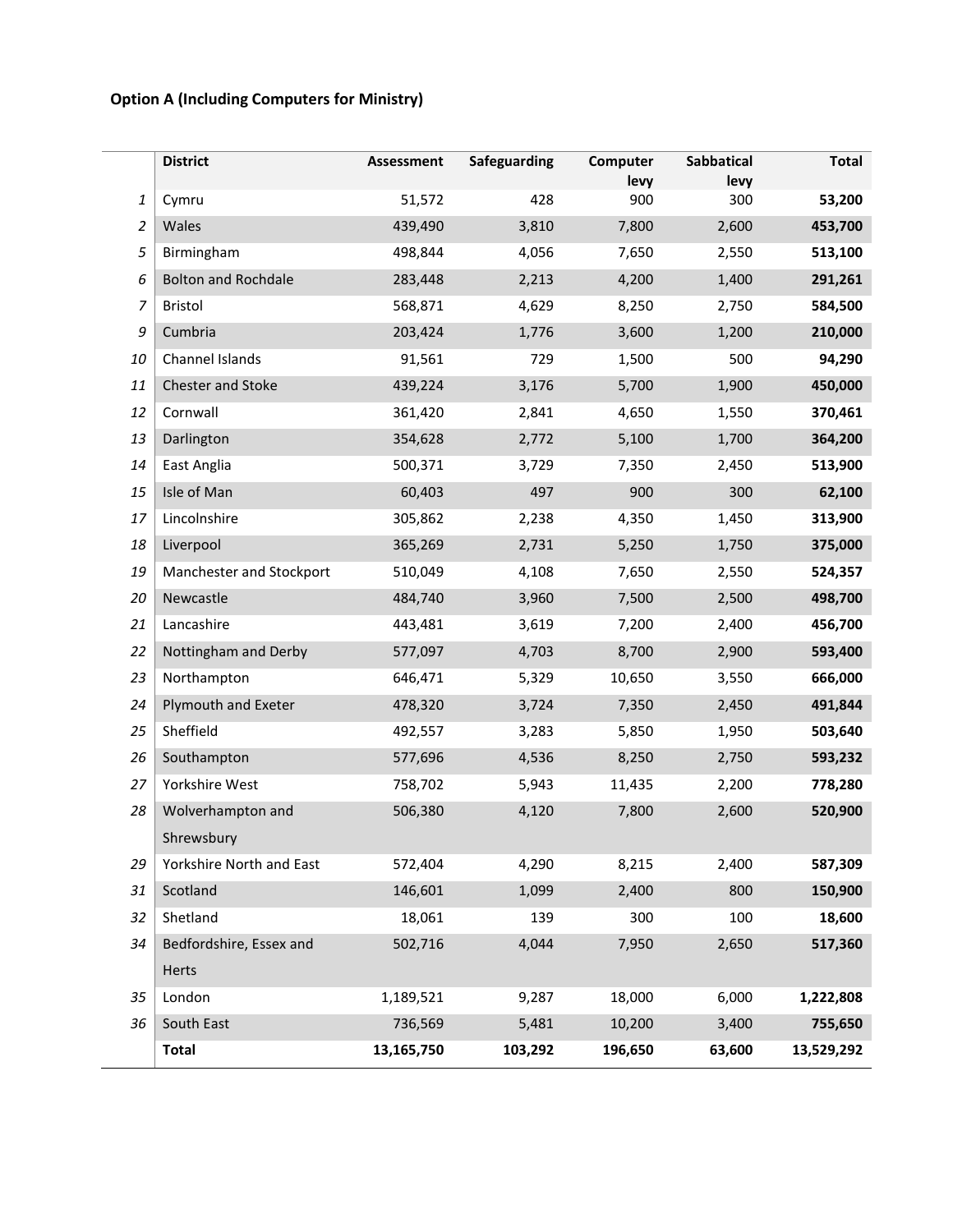# **Option A (Including Computers for Ministry)**

|                | <b>District</b>            | Assessment | Safeguarding | Computer<br>levy | <b>Sabbatical</b><br>levy | <b>Total</b> |
|----------------|----------------------------|------------|--------------|------------------|---------------------------|--------------|
| 1              | Cymru                      | 51,572     | 428          | 900              | 300                       | 53,200       |
| $\overline{c}$ | Wales                      | 439,490    | 3,810        | 7,800            | 2,600                     | 453,700      |
| 5              | Birmingham                 | 498,844    | 4,056        | 7,650            | 2,550                     | 513,100      |
| 6              | <b>Bolton and Rochdale</b> | 283,448    | 2,213        | 4,200            | 1,400                     | 291,261      |
| 7              | <b>Bristol</b>             | 568,871    | 4,629        | 8,250            | 2,750                     | 584,500      |
| 9              | Cumbria                    | 203,424    | 1,776        | 3,600            | 1,200                     | 210,000      |
| 10             | Channel Islands            | 91,561     | 729          | 1,500            | 500                       | 94,290       |
| 11             | Chester and Stoke          | 439,224    | 3,176        | 5,700            | 1,900                     | 450,000      |
| 12             | Cornwall                   | 361,420    | 2,841        | 4,650            | 1,550                     | 370,461      |
| 13             | Darlington                 | 354,628    | 2,772        | 5,100            | 1,700                     | 364,200      |
| 14             | East Anglia                | 500,371    | 3,729        | 7,350            | 2,450                     | 513,900      |
| 15             | Isle of Man                | 60,403     | 497          | 900              | 300                       | 62,100       |
| 17             | Lincolnshire               | 305,862    | 2,238        | 4,350            | 1,450                     | 313,900      |
| 18             | Liverpool                  | 365,269    | 2,731        | 5,250            | 1,750                     | 375,000      |
| 19             | Manchester and Stockport   | 510,049    | 4,108        | 7,650            | 2,550                     | 524,357      |
| 20             | Newcastle                  | 484,740    | 3,960        | 7,500            | 2,500                     | 498,700      |
| 21             | Lancashire                 | 443,481    | 3,619        | 7,200            | 2,400                     | 456,700      |
| 22             | Nottingham and Derby       | 577,097    | 4,703        | 8,700            | 2,900                     | 593,400      |
| 23             | Northampton                | 646,471    | 5,329        | 10,650           | 3,550                     | 666,000      |
| 24             | Plymouth and Exeter        | 478,320    | 3,724        | 7,350            | 2,450                     | 491,844      |
| 25             | Sheffield                  | 492,557    | 3,283        | 5,850            | 1,950                     | 503,640      |
| 26             | Southampton                | 577,696    | 4,536        | 8,250            | 2,750                     | 593,232      |
| 27             | Yorkshire West             | 758,702    | 5,943        | 11,435           | 2,200                     | 778,280      |
| 28             | Wolverhampton and          | 506,380    | 4,120        | 7,800            | 2,600                     | 520,900      |
|                | Shrewsbury                 |            |              |                  |                           |              |
| 29             | Yorkshire North and East   | 572,404    | 4,290        | 8,215            | 2,400                     | 587,309      |
| 31             | Scotland                   | 146,601    | 1,099        | 2,400            | 800                       | 150,900      |
| 32             | Shetland                   | 18,061     | 139          | 300              | 100                       | 18,600       |
| 34             | Bedfordshire, Essex and    | 502,716    | 4,044        | 7,950            | 2,650                     | 517,360      |
|                | <b>Herts</b>               |            |              |                  |                           |              |
| 35             | London                     | 1,189,521  | 9,287        | 18,000           | 6,000                     | 1,222,808    |
| 36             | South East                 | 736,569    | 5,481        | 10,200           | 3,400                     | 755,650      |
|                | <b>Total</b>               | 13,165,750 | 103,292      | 196,650          | 63,600                    | 13,529,292   |